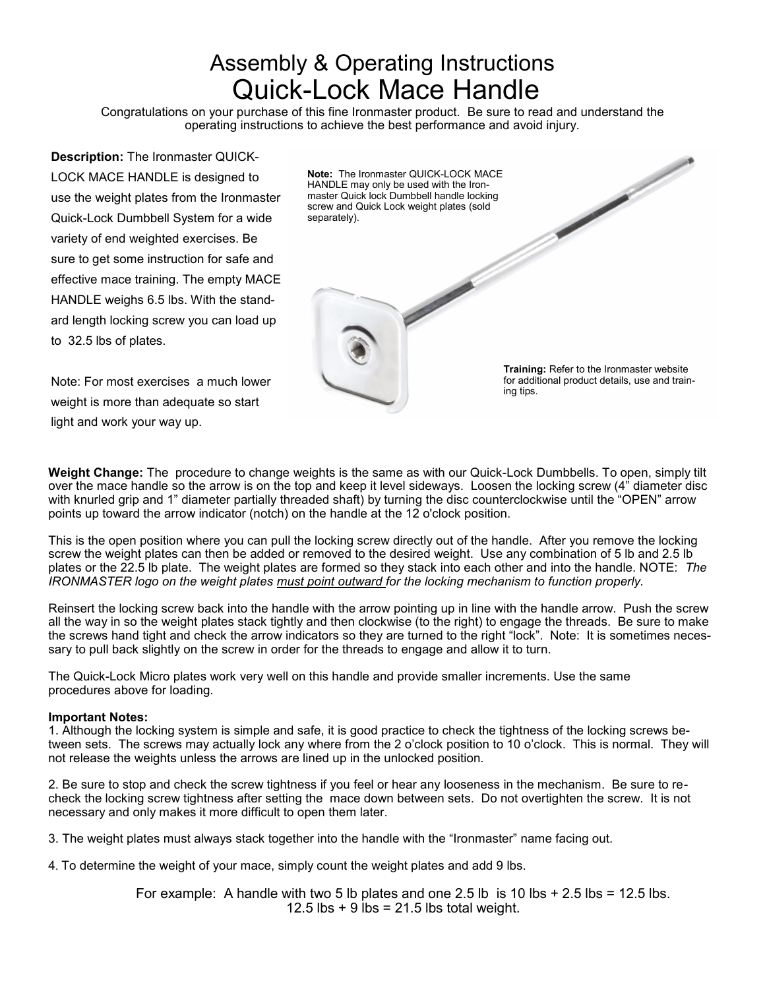# Assembly & Operating Instructions Quick-Lock Mace Handle

Congratulations on your purchase of this fine Ironmaster product. Be sure to read and understand the operating instructions to achieve the best performance and avoid injury.

**Description:** The Ironmaster QUICK-LOCK MACE HANDLE is designed to use the weight plates from the Ironmaster Quick-Lock Dumbbell System for a wide variety of end weighted exercises. Be sure to get some instruction for safe and effective mace training. The empty MACE HANDLE weighs 6.5 lbs. With the standard length locking screw you can load up to 32.5 lbs of plates.

Note: For most exercises a much lower weight is more than adequate so start light and work your way up.

**Weight Change:** The procedure to change weights is the same as with our Quick-Lock Dumbbells. To open, simply tilt over the mace handle so the arrow is on the top and keep it level sideways. Loosen the locking screw (4" diameter disc with knurled grip and 1" diameter partially threaded shaft) by turning the disc counterclockwise until the "OPEN" arrow points up toward the arrow indicator (notch) on the handle at the 12 o'clock position.

This is the open position where you can pull the locking screw directly out of the handle. After you remove the locking screw the weight plates can then be added or removed to the desired weight. Use any combination of 5 lb and 2.5 lb plates or the 22.5 lb plate. The weight plates are formed so they stack into each other and into the handle. NOTE: *The IRONMASTER logo on the weight plates must point outward for the locking mechanism to function properly.* 

Reinsert the locking screw back into the handle with the arrow pointing up in line with the handle arrow. Push the screw all the way in so the weight plates stack tightly and then clockwise (to the right) to engage the threads. Be sure to make the screws hand tight and check the arrow indicators so they are turned to the right "lock". Note: It is sometimes necessary to pull back slightly on the screw in order for the threads to engage and allow it to turn.

The Quick-Lock Micro plates work very well on this handle and provide smaller increments. Use the same procedures above for loading.

## **Important Notes:**

1. Although the locking system is simple and safe, it is good practice to check the tightness of the locking screws between sets. The screws may actually lock any where from the 2 o'clock position to 10 o'clock. This is normal. They will not release the weights unless the arrows are lined up in the unlocked position.

2. Be sure to stop and check the screw tightness if you feel or hear any looseness in the mechanism. Be sure to recheck the locking screw tightness after setting the mace down between sets. Do not overtighten the screw. It is not necessary and only makes it more difficult to open them later.

3. The weight plates must always stack together into the handle with the "Ironmaster" name facing out.

4. To determine the weight of your mace, simply count the weight plates and add 9 lbs.

For example: A handle with two 5 lb plates and one 2.5 lb is 10 lbs  $+ 2.5$  lbs = 12.5 lbs. 12.5 lbs  $+9$  lbs = 21.5 lbs total weight.

for additional product details, use and training tips.